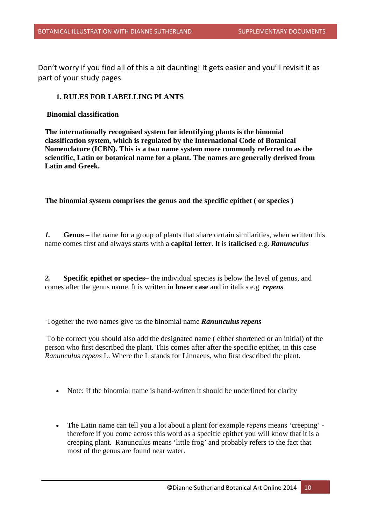Don't worry if you find all of this a bit daunting! It gets easier and you'll revisit it as part of your study pages

# **1. RULES FOR LABELLING PLANTS**

**Binomial classification**

**The internationally recognised system for identifying plants is the binomial classification system, which is regulated by the International Code of Botanical Nomenclature (ICBN). This is a two name system more commonly referred to as the scientific, Latin or botanical name for a plant. The names are generally derived from Latin and Greek.**

**The binomial system comprises the genus and the specific epithet ( or species )**

*1.* **Genus –** the name for a group of plants that share certain similarities, when written this name comes first and always starts with a **capital letter**. It is **italicised** e.g. *Ranunculus*

*2.* **Specific epithet or species–** the individual species is below the level of genus, and comes after the genus name. It is written in **lower case** and in italics e.g *repens*

Together the two names give us the binomial name *Ranunculus repens*

To be correct you should also add the designated name ( either shortened or an initial) of the person who first described the plant. This comes after after the specific epithet, in this case *Ranunculus repens* L. Where the L stands for Linnaeus, who first described the plant.

- Note: If the binomial name is hand-written it should be underlined for clarity
- The Latin name can tell you a lot about a plant for example *repens* means 'creeping' therefore if you come across this word as a specific epithet you will know that it is a creeping plant. Ranunculus means 'little frog' and probably refers to the fact that most of the genus are found near water.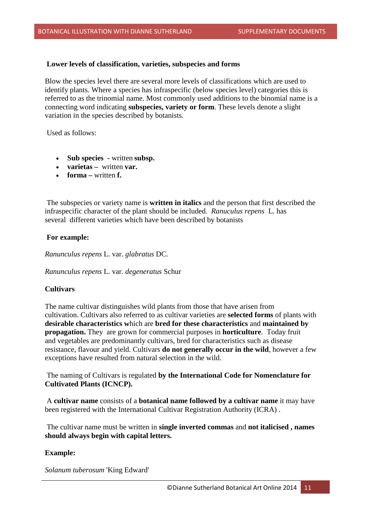### **Lower levels of classification, varieties, subspecies and forms**

Blow the species level there are several more levels of classifications which are used to identify plants. Where a species has infraspecific (below species level) categories this is referred to as the trinomial name. Most commonly used additions to the binomial name is a connecting word indicating **subspecies, variety or form**. These levels denote a slight variation in the species described by botanists.

Used as follows:

- **Sub species -** written **subsp.**
- **varietas** written **var.**
- **forma –** written **f.**

The subspecies or variety name is **written in italics** and the person that first described the infraspecific character of the plant should be included. *Ranuculus repens* L. has several different varieties which have been described by botanists

# **For example:**

*Ranunculus repens* L. var. *glabratus* DC.

*Ranunculus repens* L. var. *degeneratus* Schur

## **Cultivars**

The name cultivar distinguishes wild plants from those that have arisen from cultivation. Cultivars also referred to as cultivar varieties are **selected forms** of plants with **desirable characteristics w**hich are **bred for these characteristics** and **maintained by propagation.** They are grown for commercial purposes in **horticulture**. Today fruit and vegetables are predominantly cultivars, bred for characteristics such as disease resistance, flavour and yield. Cultivars **do not generally occur in the wild**, however a few exceptions have resulted from natural selection in the wild.

The naming of Cultivars is regulated **by the International Code for Nomenclature for Cultivated Plants (ICNCP).**

A **cultivar name** consists of a **botanical name followed by a cultivar name** it may have been registered with the International Cultivar Registration Authority (ICRA) .

The cultivar name must be written in **single inverted commas** and **not italicised , names should always begin with capital letters.**

## **Example:**

*Solanum tuberosum* 'King Edward'